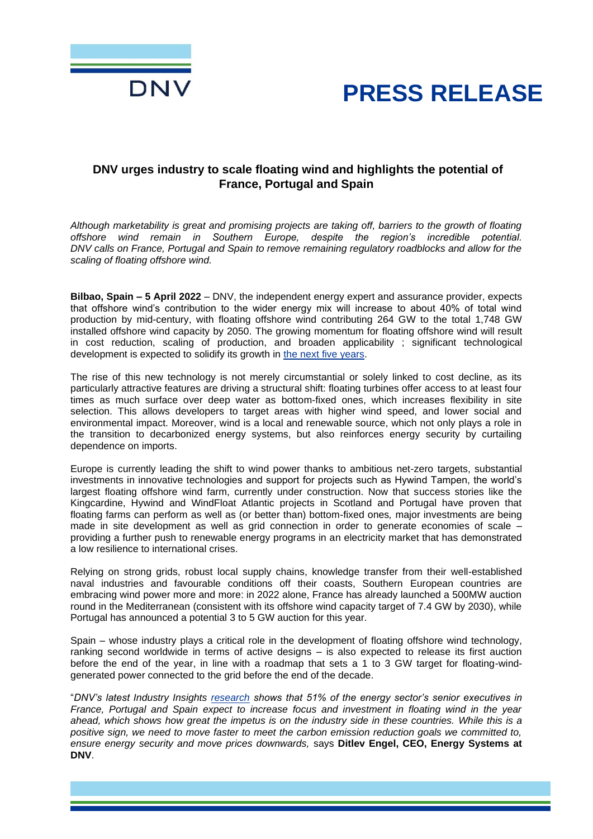



# **DNV urges industry to scale floating wind and highlights the potential of France, Portugal and Spain**

*Although marketability is great and promising projects are taking off, barriers to the growth of floating offshore wind remain in Southern Europe, despite the region's incredible potential. DNV calls on France, Portugal and Spain to remove remaining regulatory roadblocks and allow for the scaling of floating offshore wind.*

**Bilbao, Spain – 5 April 2022** – DNV, the independent energy expert and assurance provider, expects that offshore wind's contribution to the wider energy mix will increase to about 40% of total wind production by mid-century, with floating offshore wind contributing 264 GW to the total 1,748 GW installed offshore wind capacity by 2050. The growing momentum for floating offshore wind will result in cost reduction, scaling of production, and broaden applicability ; significant technological development is expected to solidify its growth in [the next five years.](https://www.dnv.com/focus-areas/floating-offshore-wind/floating-offshore-wind-the-next-five-years.html)

The rise of this new technology is not merely circumstantial or solely linked to cost decline, as its particularly attractive features are driving a structural shift: floating turbines offer access to at least four times as much surface over deep water as bottom-fixed ones, which increases flexibility in site selection. This allows developers to target areas with higher wind speed, and lower social and environmental impact. Moreover, wind is a local and renewable source, which not only plays a role in the transition to decarbonized energy systems, but also reinforces energy security by curtailing dependence on imports.

Europe is currently leading the shift to wind power thanks to ambitious net-zero targets, substantial investments in innovative technologies and support for projects such as Hywind Tampen, the world's largest floating offshore wind farm, currently under construction. Now that success stories like the Kingcardine, Hywind and WindFloat Atlantic projects in Scotland and Portugal have proven that floating farms can perform as well as (or better than) bottom-fixed ones*,* major investments are being made in site development as well as grid connection in order to generate economies of scale – providing a further push to renewable energy programs in an electricity market that has demonstrated a low resilience to international crises.

Relying on strong grids, robust local supply chains, knowledge transfer from their well-established naval industries and favourable conditions off their coasts, Southern European countries are embracing wind power more and more: in 2022 alone, France has already launched a 500MW auction round in the Mediterranean (consistent with its offshore wind capacity target of 7.4 GW by 2030), while Portugal has announced a potential 3 to 5 GW auction for this year.

Spain – whose industry plays a critical role in the development of floating offshore wind technology, ranking second worldwide in terms of active designs – is also expected to release its first auction before the end of the year, in line with a roadmap that sets a 1 to 3 GW target for floating-windgenerated power connected to the grid before the end of the decade.

"*DNV's latest [Industry Insights research](https://www.dnv.com/power-renewables/energy-industry-insights/index.html) shows that 51% of the energy sector's senior executives in France, Portugal and Spain expect to increase focus and investment in floating wind in the year ahead, which shows how great the impetus is on the industry side in these countries. While this is a positive sign, we need to move faster to meet the carbon emission reduction goals we committed to, ensure energy security and move prices downwards,* says **Ditlev Engel, CEO, Energy Systems at DNV**.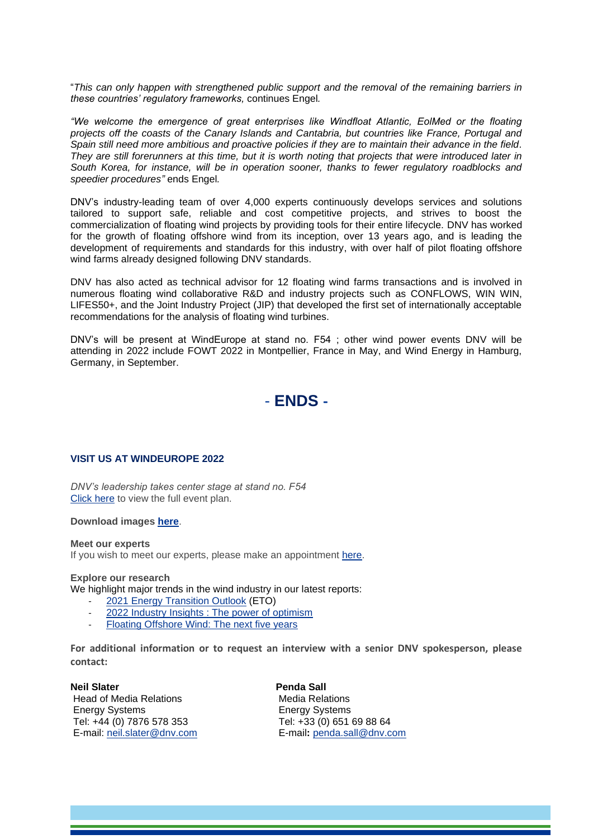"*This can only happen with strengthened public support and the removal of the remaining barriers in these countries' regulatory frameworks,* continues Engel*.*

*"We welcome the emergence of great enterprises like Windfloat Atlantic, EolMed or the floating projects off the coasts of the Canary Islands and Cantabria, but countries like France, Portugal and Spain still need more ambitious and proactive policies if they are to maintain their advance in the field. They are still forerunners at this time, but it is worth noting that projects that were introduced later in South Korea, for instance, will be in operation sooner, thanks to fewer regulatory roadblocks and speedier procedures"* ends Engel*.*

DNV's industry-leading team of over 4,000 experts continuously develops services and solutions tailored to support safe, reliable and cost competitive projects, and strives to boost the commercialization of floating wind projects by providing tools for their entire lifecycle. DNV has worked for the growth of floating offshore wind from its inception, over 13 years ago, and is leading the development of requirements and standards for this industry, with over half of pilot floating offshore wind farms already designed following DNV standards.

DNV has also acted as technical advisor for 12 floating wind farms transactions and is involved in numerous floating wind collaborative R&D and industry projects such as CONFLOWS, WIN WIN, LIFES50+, and the Joint Industry Project (JIP) that developed the first set of internationally acceptable recommendations for the analysis of floating wind turbines.

DNV's will be present at WindEurope at stand no. F54 ; other wind power events DNV will be attending in 2022 include FOWT 2022 in Montpellier, France in May, and Wind Energy in Hamburg, Germany, in September.



# **VISIT US AT WINDEUROPE 2022**

*DNV's leadership takes center stage at stand no. F54* [Click here](https://eur01.safelinks.protection.outlook.com/?url=http%3A%2F%2Flink.mediaoutreach.meltwater.com%2Fls%2Fclick%3Fupn%3DpjegqKyculL9yFgUfCcgyfrpMGLQimJ-2FqOSYq66TcWmA8feTRyuhqDy5ge2UF-2F16CLKmh7YlTv-2FRu3XidUBHcFeok2AJQCufD6pa2u-2Fvp5qyF3mKeCkrS3wU9npKcsec4LN8TEmi5tORerHq7b-2Fm3Rbpb5RUu8f7kasxrpPMqdbZl-2BRrmg2z7pAN5ZIP54nien2b3LhILOEN6Rbk-2FuOtUcJYcHE8dTtMGjmBCpo3LpZBjWvRkHKS-2BnDfQFfEARWpRUQB_Y7PFBqc-2F5lVygH9boipxZUtJHPNZGE4m-2BnWGch5VGLgcZguURel2JU-2FjN-2BlMML2HYRAWBb496qWyS-2BUFe674kML3-2B2ThQlx2b-2BYFPofugmerwOLv5-2FkhfXeLHWDLEcbfpi2rrGVkkFmgxbPccKtSM9wWZgZ3ccEUGCROXqdntQCxM-2BHwyXUosU2wcpqP-2FEIpM6Wkc1G8-2BRwt4FdhVwGB4lQEg7V1YxPT36WF6MP17Ib5XRLeNPDbHjmf7HX7IDlK1OY9aFqtYjJLD4HcUtTLjDgFLnwjKBo0J-2BppK-2FmosBpfSAuNRrqTY3gQIg5X9A4M9iSvwQh6nZDTlmKdUqddAKczRMMxvEmg0aqt2uszeQmDYVUVTYc3W7ZgfhMNFk-2FY&data=04%7C01%7CPenda.Sall%40dnv.com%7C301f2d66a5984021138f08da0ce08463%7Cadf10e2bb6e941d6be2fc12bb566019c%7C0%7C0%7C637836455682915942%7CUnknown%7CTWFpbGZsb3d8eyJWIjoiMC4wLjAwMDAiLCJQIjoiV2luMzIiLCJBTiI6Ik1haWwiLCJXVCI6Mn0%3D%7C3000&sdata=9kNENUdfgQ1cLYIo%2BTE1qjBKRKkT%2F5tIgd82BjxPZZE%3D&reserved=0) to view the full event plan.

### **Download images [here](https://brandcentral.dnv.com/mars/public_sharing.lb?p_colshar_id=81970&p_hash=CACE)**.

#### **Meet our experts**

If you wish to meet our experts, please make an appointment [here.](https://eur01.safelinks.protection.outlook.com/?url=http%3A%2F%2Flink.mediaoutreach.meltwater.com%2Fls%2Fclick%3Fupn%3DpjegqKyculL9yFgUfCcgyfrpMGLQimJ-2FqOSYq66TcWmA8feTRyuhqDy5ge2UF-2F16CLKmh7YlTv-2FRu3XidUBHcFeok2AJQCufD6pa2u-2Fvp5qyF3mKeCkrS3wU9npKcsec4LN8TEmi5tORerHq7b-2Fm3Rbpb5RUu8f7kasxrpPMqdbZl-2BRrmg2z7pAN5ZIP54nien2b3LhILOEN6Rbk-2FuOtUcJYcHE8dTtMGjmBCpo3LpZBjWvRkHKS-2BnDfQFfEARWp7xhY_Y7PFBqc-2F5lVygH9boipxZUtJHPNZGE4m-2BnWGch5VGLgcZguURel2JU-2FjN-2BlMML2HYRAWBb496qWyS-2BUFe674kML3-2B2ThQlx2b-2BYFPofugmerwOLv5-2FkhfXeLHWDLEcbfpi2rrGVkkFmgxbPccKtSM9wWZgZ3ccEUGCROXqdntQCxM-2BHwyXUosU2wcpqP-2FEIpM6Wkc1G8-2BRwt4FdhVwGB4s-2BwZRQUb-2Bn3VrJpJwp6WpZpexz6ZWvsDsk9M-2BNlANWzcKqgZfV6oGdaQfuI9NJK-2FXIbmawgkcH22i4wlBAI4xbDee-2FdtvOIDrYXobo1m2ArsaRsIhHAdg56gOmj6kC6iVIWblHo82dR5yfXT5MmFW-2Bh3C7dpmdL4L1Hq6N-2B3sq2&data=04%7C01%7CPenda.Sall%40dnv.com%7C301f2d66a5984021138f08da0ce08463%7Cadf10e2bb6e941d6be2fc12bb566019c%7C0%7C0%7C637836455682915942%7CUnknown%7CTWFpbGZsb3d8eyJWIjoiMC4wLjAwMDAiLCJQIjoiV2luMzIiLCJBTiI6Ik1haWwiLCJXVCI6Mn0%3D%7C3000&sdata=y04Ap2j7BDoLprnqxDrI4rtdyJ8B0AzOZFJGgs1lhEs%3D&reserved=0)

### **Explore our research**

We highlight major trends in the wind industry in our latest reports:

- [2021 Energy Transition Outlook](https://eur01.safelinks.protection.outlook.com/?url=http%3A%2F%2Flink.mediaoutreach.meltwater.com%2Fls%2Fclick%3Fupn%3DpjegqKyculL9yFgUfCcgyRygffIUcUoeraewfryvOp26h6qrR33Ej2J-2FUGr9rhfZcsiDjkctNNjbpv23Sy3CyYWR2BcUmBTbgruAgV337fc-3Dl_P4_Y7PFBqc-2F5lVygH9boipxZUtJHPNZGE4m-2BnWGch5VGLgcZguURel2JU-2FjN-2BlMML2HYRAWBb496qWyS-2BUFe674kML3-2B2ThQlx2b-2BYFPofugmerwOLv5-2FkhfXeLHWDLEcbfpi2rrGVkkFmgxbPccKtSM9wWZgZ3ccEUGCROXqdntQCxM-2BHwyXUosU2wcpqP-2FEIpM6Wkc1G8-2BRwt4FdhVwGB4gBz8QQIi8q8uDVcgPBvnBpobvo-2BollDwtuml2jvxTOOiGs8xwypULSLY6Rk3UZiGL9wJsdB5HBbOyJ9a52BGts9VGJ7YiUf1TBw1MspR8ssUMOzTiwA2Wewxl-2BHJ6WE5vtYzKP-2FLUUK8ScGB-2BKPVE2y8GCE6XRWxM5mg6gcwNhb&data=04%7C01%7CPenda.Sall%40dnv.com%7C301f2d66a5984021138f08da0ce08463%7Cadf10e2bb6e941d6be2fc12bb566019c%7C0%7C0%7C637836455682759727%7CUnknown%7CTWFpbGZsb3d8eyJWIjoiMC4wLjAwMDAiLCJQIjoiV2luMzIiLCJBTiI6Ik1haWwiLCJXVCI6Mn0%3D%7C3000&sdata=3e4o2TnaWmRpCYggWbUQCnvgVfeoaqpUucm%2FsA49q%2FA%3D&reserved=0) (ETO)
- [2022 Industry Insights : The power of optimism](https://eur01.safelinks.protection.outlook.com/?url=http%3A%2F%2Flink.mediaoutreach.meltwater.com%2Fls%2Fclick%3Fupn%3DpjegqKyculL9yFgUfCcgyaXjT2LAexoPiTboYmzdtF4l82VlIOqWRb11G5GYzF-2FgYAX37S2EPn4w8IHIJC-2BXdlcL1kFkI9Gmixpht0zVKG0hDMVdcgfOGrbRQS4OyUBj48Z5_Y7PFBqc-2F5lVygH9boipxZUtJHPNZGE4m-2BnWGch5VGLgcZguURel2JU-2FjN-2BlMML2HYRAWBb496qWyS-2BUFe674kML3-2B2ThQlx2b-2BYFPofugmerwOLv5-2FkhfXeLHWDLEcbfpi2rrGVkkFmgxbPccKtSM9wWZgZ3ccEUGCROXqdntQCxM-2BHwyXUosU2wcpqP-2FEIpM6Wkc1G8-2BRwt4FdhVwGB4qKBzX4EJbwjuYHWCdDki1fhlK3A1JuplgwJpyniDfZ4GRjUTVQ1Hq94ebPe8luKeMoFn-2FQ8zYIYioU6N-2FY8aI33soesjWpajrH5kyeM-2BXkma4Qs8zXPMhWzjDWAfhXc2FbN7MwSMOS7X86upZ-2BhwZlej7moBWHTHIZKiP5WEyI-2F&data=04%7C01%7CPenda.Sall%40dnv.com%7C301f2d66a5984021138f08da0ce08463%7Cadf10e2bb6e941d6be2fc12bb566019c%7C0%7C0%7C637836455682759727%7CUnknown%7CTWFpbGZsb3d8eyJWIjoiMC4wLjAwMDAiLCJQIjoiV2luMzIiLCJBTiI6Ik1haWwiLCJXVCI6Mn0%3D%7C3000&sdata=Ft0Plw33HVm6rDNYv5O47zHNzGXZlyreOVwzNqsp3c4%3D&reserved=0)
- [Floating Offshore Wind: The next five years](https://eur01.safelinks.protection.outlook.com/?url=http%3A%2F%2Flink.mediaoutreach.meltwater.com%2Fls%2Fclick%3Fupn%3DpjegqKyculL9yFgUfCcgyZ-2Fm-2FO5g5DmsLJCL9xA18OGdO84efQ617qtNcfonmkCsOTb3Opqyo9GPLLmxZYmQfMJBHLKpJ43Ac-2Bq6dZYU0oa4EKoivw6oAeeGomsJeo900muDBpGWyyNyL1dvQvmzpQ-3D-3DsUtM_Y7PFBqc-2F5lVygH9boipxZUtJHPNZGE4m-2BnWGch5VGLgcZguURel2JU-2FjN-2BlMML2HYRAWBb496qWyS-2BUFe674kML3-2B2ThQlx2b-2BYFPofugmerwOLv5-2FkhfXeLHWDLEcbfpi2rrGVkkFmgxbPccKtSM9wWZgZ3ccEUGCROXqdntQCxM-2BHwyXUosU2wcpqP-2FEIpM6Wkc1G8-2BRwt4FdhVwGB4ouIzpT0Bl9baKM4LaahONteUzhQcPYBSoapGYSVnFdhj-2F1jop1N67Ykz-2Bu4xDKbDkmnv1eKA44rWeWEJIgrA7Yj7x-2FFseqe4P2kKwXYgR1JQhnvTRcYudvsGn-2B7q5zoS30JK53tD4210USuAE6ameYUGjLP5cjFXlVCO4djc2Yv&data=04%7C01%7CPenda.Sall%40dnv.com%7C301f2d66a5984021138f08da0ce08463%7Cadf10e2bb6e941d6be2fc12bb566019c%7C0%7C0%7C637836455682915942%7CUnknown%7CTWFpbGZsb3d8eyJWIjoiMC4wLjAwMDAiLCJQIjoiV2luMzIiLCJBTiI6Ik1haWwiLCJXVCI6Mn0%3D%7C3000&sdata=7VaUmMDgArE9JDJATrt3djpz%2Bm7jkBoN2PLBfvKWgFQ%3D&reserved=0)

**For additional information or to request an interview with a senior DNV spokesperson, please contact:**

**Neil Slater** Head of Media Relations Energy Systems Tel: +44 (0) 7876 578 353 E-mail: [neil.slater@dnv.com](mailto:neil.slater@dnv.com) **Penda Sall** Media Relations Energy Systems Tel: +33 (0) 651 69 88 64 E-mail**:** [penda.sall@dnv.com](mailto:penda.sall@dnv.com)